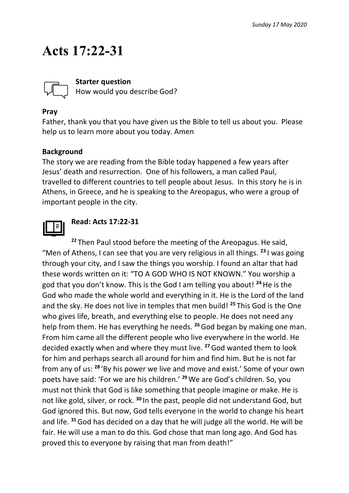## **Acts 17:22-31**



**Starter question**

How would you describe God?

#### **Pray**

Father, thank you that you have given us the Bible to tell us about you. Please help us to learn more about you today. Amen

#### **Background**

The story we are reading from the Bible today happened a few years after Jesus' death and resurrection. One of his followers, a man called Paul, travelled to different countries to tell people about Jesus. In this story he is in Athens, in Greece, and he is speaking to the Areopagus, who were a group of important people in the city.



#### **Read: Acts 17:22-31**

**<sup>22</sup>** Then Paul stood before the meeting of the Areopagus. He said, "Men of Athens, I can see that you are very religious in all things. **<sup>23</sup>** I was going through your city, and I saw the things you worship. I found an altar that had these words written on it: "TO A GOD WHO IS NOT KNOWN." You worship a god that you don't know. This is the God I am telling you about! **<sup>24</sup>**He is the God who made the whole world and everything in it. He is the Lord of the land and the sky. He does not live in temples that men build! **<sup>25</sup>** This God is the One who gives life, breath, and everything else to people. He does not need any help from them. He has everything he needs. **<sup>26</sup>**God began by making one man. From him came all the different people who live everywhere in the world. He decided exactly when and where they must live. **<sup>27</sup>**God wanted them to look for him and perhaps search all around for him and find him. But he is not far from any of us: **<sup>28</sup>** 'By his power we live and move and exist.' Some of your own poets have said: 'For we are his children.' **<sup>29</sup>**We are God's children. So, you must not think that God is like something that people imagine or make. He is not like gold, silver, or rock. **<sup>30</sup>** In the past, people did not understand God, but God ignored this. But now, God tells everyone in the world to change his heart and life. **<sup>31</sup>**God has decided on a day that he will judge all the world. He will be fair. He will use a man to do this. God chose that man long ago. And God has proved this to everyone by raising that man from death!"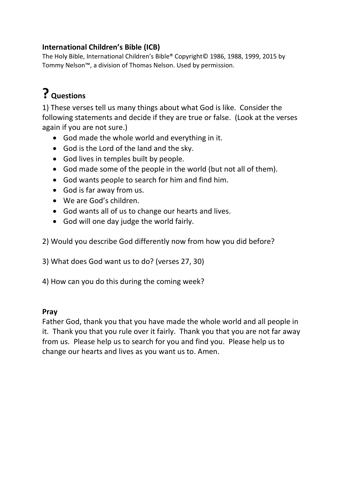#### **[International Children's Bible](https://www.biblegateway.com/versions/International-Childrens-Bible-ICB/) (ICB)**

The Holy Bible, International Children's Bible® Copyright© 1986, 1988, 1999, 2015 by Tommy Nelson™, a division of Thomas Nelson. Used by permission.

## **? Questions**

1) These verses tell us many things about what God is like. Consider the following statements and decide if they are true or false. (Look at the verses again if you are not sure.)

- God made the whole world and everything in it.
- God is the Lord of the land and the sky.
- God lives in temples built by people.
- God made some of the people in the world (but not all of them).
- God wants people to search for him and find him.
- God is far away from us.
- We are God's children.
- God wants all of us to change our hearts and lives.
- God will one day judge the world fairly.

2) Would you describe God differently now from how you did before?

3) What does God want us to do? (verses 27, 30)

4) How can you do this during the coming week?

#### **Pray**

Father God, thank you that you have made the whole world and all people in it. Thank you that you rule over it fairly. Thank you that you are not far away from us. Please help us to search for you and find you. Please help us to change our hearts and lives as you want us to. Amen.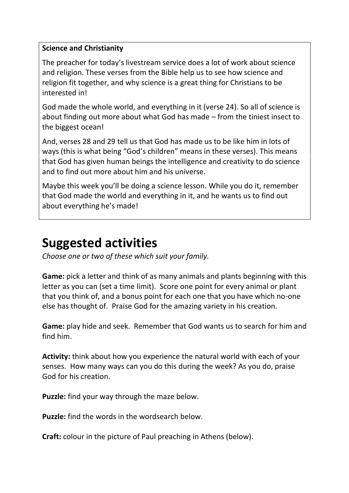#### **Science and Christianity**

The preacher for today's livestream service does a lot of work about science and religion. These verses from the Bible help us to see how science and religion fit together, and why science is a great thing for Christians to be interested in!

God made the whole world, and everything in it (verse 24). So all of science is about finding out more about what God has made – from the tiniest insect to the biggest ocean!

And, verses 28 and 29 tell us that God has made us to be like him in lots of ways (this is what being "God's children" means in these verses). This means that God has given human beings the intelligence and creativity to do science and to find out more about him and his universe.

Maybe this week you'll be doing a science lesson. While you do it, remember that God made the world and everything in it, and he wants us to find out about everything he's made!

### **Suggested activities**

*Choose one or two of these which suit your family.*

**Game:** pick a letter and think of as many animals and plants beginning with this letter as you can (set a time limit). Score one point for every animal or plant that you think of, and a bonus point for each one that you have which no-one else has thought of. Praise God for the amazing variety in his creation.

**Game:** play hide and seek. Remember that God wants us to search for him and find him.

**Activity:** think about how you experience the natural world with each of your senses. How many ways can you do this during the week? As you do, praise God for his creation.

**Puzzle:** find your way through the maze below.

**Puzzle:** find the words in the wordsearch below.

**Craft:** colour in the picture of Paul preaching in Athens (below).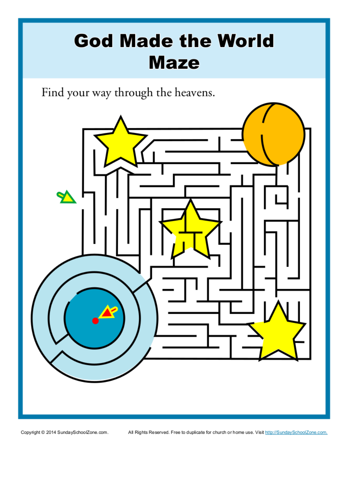## **God Made the World Maze**

Find your way through the heavens.



Copyright @ 2014 SundaySchoolZone.com.

All Rights Reserved. Free to duplicate for church or home use. Visit http://SundaySchoolZone.com.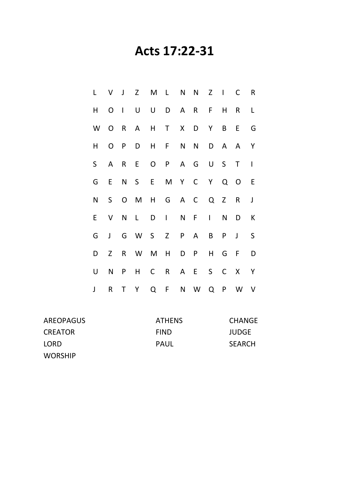### **Acts 17:22-31**

|                         |     | V J Z M L N N Z I C R |  |  |  |                |
|-------------------------|-----|-----------------------|--|--|--|----------------|
| H.                      |     | O I U U D A R F H R L |  |  |  |                |
|                         |     | W O R A H T X D Y B E |  |  |  | G              |
| H.                      |     | O P D H F N N D A A Y |  |  |  |                |
| S                       |     | A R E O P A G U S T   |  |  |  | $\blacksquare$ |
|                         |     | G E N S E M Y C Y Q O |  |  |  | E              |
| N                       |     | S O M H G A C Q Z R J |  |  |  |                |
| E.                      | V N | L D I N F I N D       |  |  |  | К              |
| G                       |     | J G W S Z P A B P J   |  |  |  | $\mathsf{S}$   |
| D                       | Z   | R W M H D P H G F     |  |  |  | D              |
| U N                     |     | P H C R A E S C X Y   |  |  |  |                |
| $\overline{\mathsf{I}}$ |     | R T Y Q F N W Q P W V |  |  |  |                |

| AREOPAGUS      | <b>ATHENS</b> | <b>CHANGE</b> |
|----------------|---------------|---------------|
| <b>CREATOR</b> | <b>FIND</b>   | <b>JUDGE</b>  |
| LORD           | PAUL          | <b>SEARCH</b> |
| <b>WORSHIP</b> |               |               |